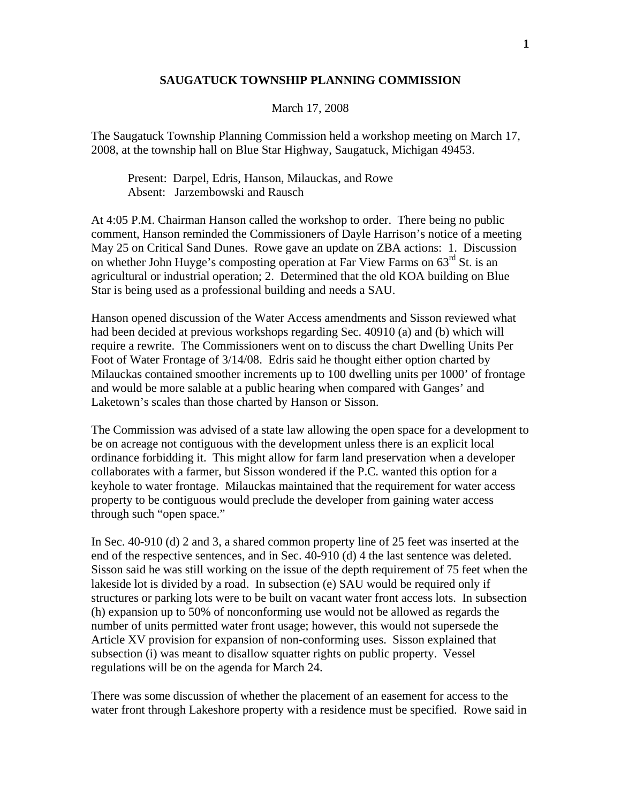## **SAUGATUCK TOWNSHIP PLANNING COMMISSION**

## March 17, 2008

The Saugatuck Township Planning Commission held a workshop meeting on March 17, 2008, at the township hall on Blue Star Highway, Saugatuck, Michigan 49453.

 Present: Darpel, Edris, Hanson, Milauckas, and Rowe Absent: Jarzembowski and Rausch

At 4:05 P.M. Chairman Hanson called the workshop to order. There being no public comment, Hanson reminded the Commissioners of Dayle Harrison's notice of a meeting May 25 on Critical Sand Dunes. Rowe gave an update on ZBA actions: 1. Discussion on whether John Huyge's composting operation at Far View Farms on 63<sup>rd</sup> St. is an agricultural or industrial operation; 2. Determined that the old KOA building on Blue Star is being used as a professional building and needs a SAU.

Hanson opened discussion of the Water Access amendments and Sisson reviewed what had been decided at previous workshops regarding Sec. 40910 (a) and (b) which will require a rewrite. The Commissioners went on to discuss the chart Dwelling Units Per Foot of Water Frontage of 3/14/08. Edris said he thought either option charted by Milauckas contained smoother increments up to 100 dwelling units per 1000' of frontage and would be more salable at a public hearing when compared with Ganges' and Laketown's scales than those charted by Hanson or Sisson.

The Commission was advised of a state law allowing the open space for a development to be on acreage not contiguous with the development unless there is an explicit local ordinance forbidding it. This might allow for farm land preservation when a developer collaborates with a farmer, but Sisson wondered if the P.C. wanted this option for a keyhole to water frontage. Milauckas maintained that the requirement for water access property to be contiguous would preclude the developer from gaining water access through such "open space."

In Sec. 40-910 (d) 2 and 3, a shared common property line of 25 feet was inserted at the end of the respective sentences, and in Sec. 40-910 (d) 4 the last sentence was deleted. Sisson said he was still working on the issue of the depth requirement of 75 feet when the lakeside lot is divided by a road. In subsection (e) SAU would be required only if structures or parking lots were to be built on vacant water front access lots. In subsection (h) expansion up to 50% of nonconforming use would not be allowed as regards the number of units permitted water front usage; however, this would not supersede the Article XV provision for expansion of non-conforming uses. Sisson explained that subsection (i) was meant to disallow squatter rights on public property. Vessel regulations will be on the agenda for March 24.

There was some discussion of whether the placement of an easement for access to the water front through Lakeshore property with a residence must be specified. Rowe said in